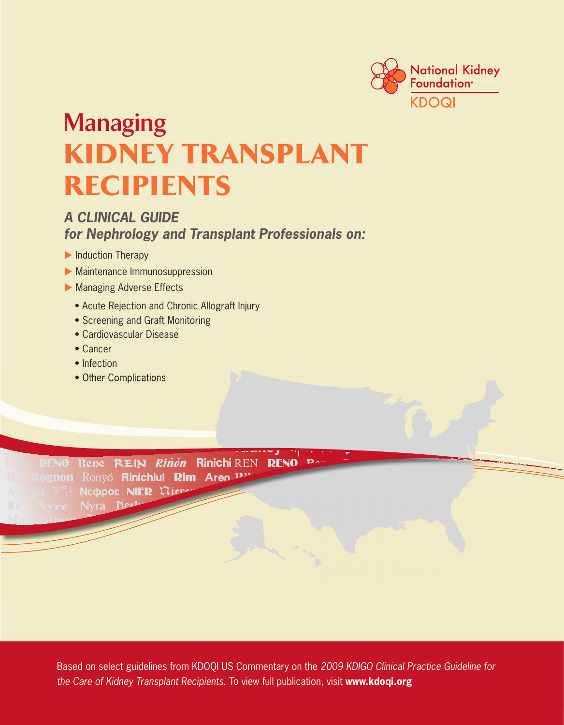

# **Managing**  KIDney transplant **RECIPIENTS**

### *A CLINICAL GUIDE for Nephrology and Transplant Professionals on:*

- **Induction Therapy**
- **Maintenance Immunosuppression**
- **Managing Adverse Effects** 
	- Acute Rejection and Chronic Allograft Injury
	- Screening and Graft Monitoring
	- Cardiovascular Disease
	- Cancer
	- Infection
	- Other Complications

RENO Rene REIN Riñón Rinichi REN **RENO** lognon Ronyó Rinìchiul Rim Aren P" Nεφροε NIER Viero Nvra Nei

> the Care of Kidney Transplant Recipients. To view full publication, visit www.kdoqi.org Based on select guidelines from KDOQI US Commentary on the *2009 KDIGO Clinical Practice Guideline for*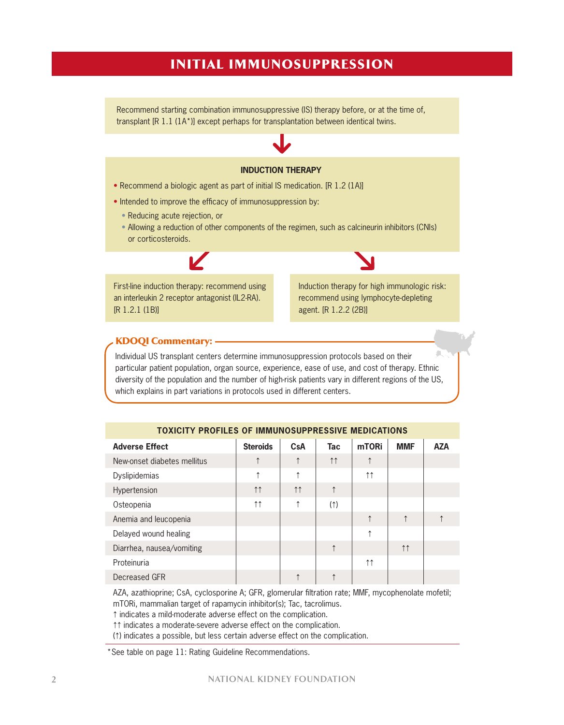### InItIal ImmunosuppressIon

Recommend starting combination immunosuppressive (IS) therapy before, or at the time of, transplant [R 1.1 (1A\*)] except perhaps for transplantation between identical twins.

#### **INDUCTION THERAPY**

- Recommend a biologic agent as part of initial IS medication. [R 1.2 (1A)]
- Intended to improve the efficacy of immunosuppression by:
	- Reducing acute rejection, or
	- Allowing a reduction of other components of the regimen, such as calcineurin inhibitors (CNIs) or corticosteroids.

First-line induction therapy: recommend using an interleukin 2 receptor antagonist (IL2-RA). [R 1.2.1 (1B)]

Induction therapy for high immunologic risk: recommend using lymphocyte-depleting agent. [R 1.2.2 (2B)]

#### KDoQI Commentary:

Individual US transplant centers determine immunosuppression protocols based on their particular patient population, organ source, experience, ease of use, and cost of therapy. Ethnic diversity of the population and the number of high-risk patients vary in different regions of the US, which explains in part variations in protocols used in different centers.

| <b>Adverse Effect</b>       | <b>Steroids</b>     | CsA                 | <b>Tac</b>          | mTORi               | <b>MMF</b>         | <b>AZA</b> |
|-----------------------------|---------------------|---------------------|---------------------|---------------------|--------------------|------------|
| New-onset diabetes mellitus | ↑                   | $\uparrow$          | $\uparrow \uparrow$ | $\uparrow$          |                    |            |
| <b>Dyslipidemias</b>        | ↑                   | $\uparrow$          |                     | $\uparrow \uparrow$ |                    |            |
| Hypertension                | $\uparrow \uparrow$ | $\uparrow \uparrow$ | $\uparrow$          |                     |                    |            |
| Osteopenia                  | $\uparrow \uparrow$ | ↑                   | $($ $\uparrow$      |                     |                    |            |
| Anemia and leucopenia       |                     |                     |                     | $\uparrow$          | $\uparrow$         |            |
| Delayed wound healing       |                     |                     |                     | ↑                   |                    |            |
| Diarrhea, nausea/vomiting   |                     |                     | $\uparrow$          |                     | $\uparrow\uparrow$ |            |
| Proteinuria                 |                     |                     |                     | $\uparrow \uparrow$ |                    |            |
| Decreased GFR               |                     |                     |                     |                     |                    |            |

#### **TOXICITY PROFILES OF IMMUNOSUPPRESSIVE MEDICATIONS**

AZA, azathioprine; CsA, cyclosporine A; GFR, glomerular filtration rate; MMF, mycophenolate mofetil; mTORi, mammalian target of rapamycin inhibitor(s); Tac, tacrolimus.

F indicates a mild-moderate adverse effect on the complication.

 $\uparrow\uparrow$  indicates a moderate-severe adverse effect on the complication.

(F) indicates a possible, but less certain adverse effect on the complication.

\*See table on page 11: Rating Guideline Recommendations.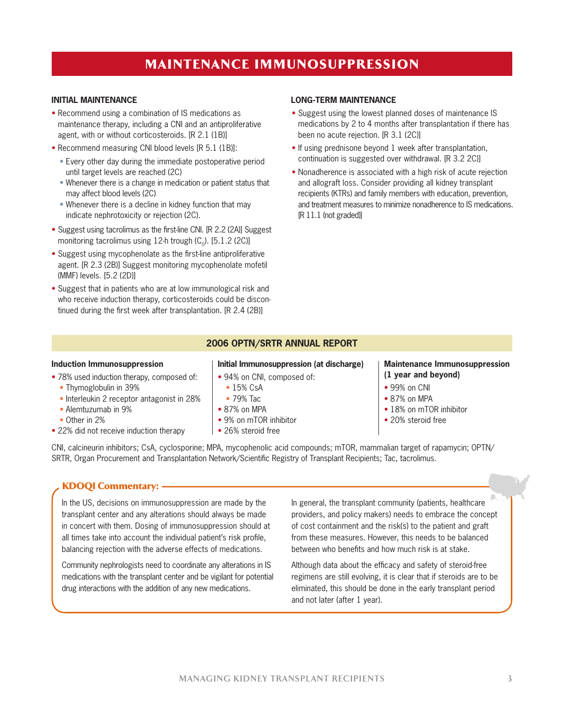### maIntenanCe ImmunosuppressIon

- Recommend using a combination of IS medications as maintenance therapy, including a CNI and an antiproliferative agent, with or without corticosteroids. [R 2.1 (1B)]
- Recommend measuring CNI blood levels [R 5.1 (1B)]:
	- Every other day during the immediate postoperative period until target levels are reached (2C)
	- Whenever there is a change in medication or patient status that may affect blood levels (2C)
	- Whenever there is a decline in kidney function that may indicate nephrotoxicity or rejection (2C).
- Suggest using tacrolimus as the first-line CNI. [R 2.2 (2A)] Suggest monitoring tacrolimus using 12-h trough  $(C_0)$ . [5.1.2 (2C)]
- Suggest using mycophenolate as the first-line antiproliferative agent. [R 2.3 (2B)] Suggest monitoring mycophenolate mofetil (MMF) levels. [5.2 (2D)]
- Suggest that in patients who are at low immunological risk and who receive induction therapy, corticosteroids could be discontinued during the first week after transplantation. [R 2.4 (2B)]

#### **INITIAL MAINTENANCE LONG-TERM MAINTENANCE**

- Suggest using the lowest planned doses of maintenance IS medications by 2 to 4 months after transplantation if there has been no acute rejection. [R 3.1 (2C)]
- If using prednisone beyond 1 week after transplantation, continuation is suggested over withdrawal. [R 3.2 2C)]
- Nonadherence is associated with a high risk of acute rejection and allograft loss. Consider providing all kidney transplant recipients (KTRs) and family members with education, prevention, and treatment measures to minimize nonadherence to IS medications. [R 11.1 (not graded)]

#### **2006 OPTN/SRTR ANNUAL REPORT**

#### **Induction Immunosuppression**

- 78% used induction therapy, composed of:
	- Thymoglobulin in 39%
	- Interleukin 2 receptor antagonist in 28%
	- Alemtuzumab in 9%
	- Other in 2%
- 22% did not receive induction therapy

### **Initial Immunosuppression (at discharge)**

- 94% on CNI, composed of:
- 15% CsA
- 79% Tac
- 87% on MPA
- 9% on mTOR inhibitor
- 26% steroid free

#### **Maintenance Immunosuppression (1 year and beyond)**

- 99% on CNI
- 87% on MPA
- 18% on mTOR inhibitor
- 20% steroid free

CNI, calcineurin inhibitors; CsA, cyclosporine; MPA, mycophenolic acid compounds; mTOR, mammalian target of rapamycin; OPTN/ SRTR, Organ Procurement and Transplantation Network/Scientific Registry of Transplant Recipients; Tac, tacrolimus.

#### KDoQI Commentary:

In the US, decisions on immunosuppression are made by the transplant center and any alterations should always be made in concert with them. Dosing of immunosuppression should at all times take into account the individual patient's risk profile, balancing rejection with the adverse effects of medications.

Community nephrologists need to coordinate any alterations in IS medications with the transplant center and be vigilant for potential drug interactions with the addition of any new medications.

In general, the transplant community (patients, healthcare providers, and policy makers) needs to embrace the concept of cost containment and the risk(s) to the patient and graft from these measures. However, this needs to be balanced between who benefits and how much risk is at stake.

Although data about the efficacy and safety of steroid-free regimens are still evolving, it is clear that if steroids are to be eliminated, this should be done in the early transplant period and not later (after 1 year).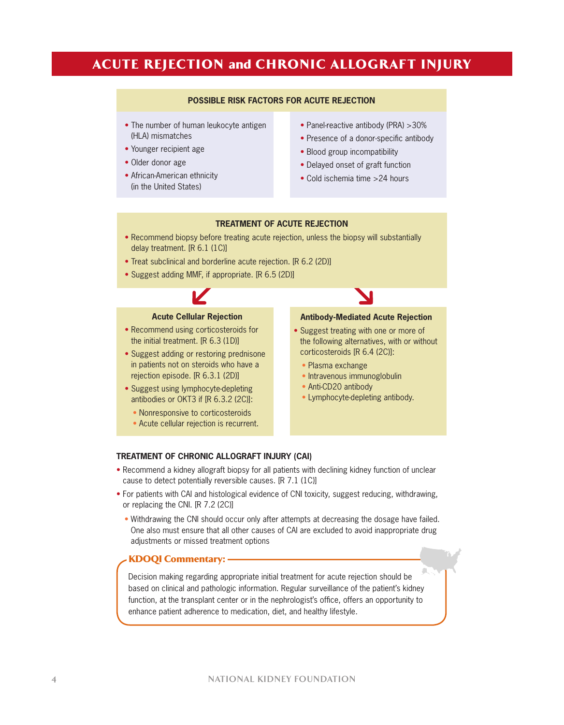### ACUTE REJECTION and CHRONIC ALLOGRAFT INJURY

#### **POSSIBLE RISK FACTORS FOR ACUTE REJECTION**

- The number of human leukocyte antigen (HLA) mismatches
- Younger recipient age
- Older donor age
- African-American ethnicity (in the United States)
- Panel-reactive antibody (PRA) >30%
- Presence of a donor-specific antibody
- Blood group incompatibility
- Delayed onset of graft function
- Cold ischemia time >24 hours

#### **TREATMENT OF ACUTE REJECTION**

- Recommend biopsy before treating acute rejection, unless the biopsy will substantially delay treatment. [R 6.1 (1C)]
- Treat subclinical and borderline acute rejection. [R 6.2 (2D)]
- Suggest adding MMF, if appropriate. [R 6.5 (2D)]



#### **Acute Cellular Rejection**

- Recommend using corticosteroids for the initial treatment. [R 6.3 (1D)]
- Suggest adding or restoring prednisone in patients not on steroids who have a rejection episode. [R 6.3.1 (2D)]
- Suggest using lymphocyte-depleting antibodies or OKT3 if [R 6.3.2 (2C)]:
	- Nonresponsive to corticosteroids
	- Acute cellular rejection is recurrent.

#### **Antibody-Mediated Acute Rejection**

- Suggest treating with one or more of the following alternatives, with or without corticosteroids [R 6.4 (2C)]:
	- Plasma exchange
	- Intravenous immunoglobulin
	- Anti-CD20 antibody
	- Lymphocyte-depleting antibody.

#### **TREATMENT OF CHRONIC ALLOGRAFT INJURY (CAI)**

- Recommend a kidney allograft biopsy for all patients with declining kidney function of unclear cause to detect potentially reversible causes. [R 7.1 (1C)]
- For patients with CAI and histological evidence of CNI toxicity, suggest reducing, withdrawing, or replacing the CNI. [R 7.2 (2C)]
	- Withdrawing the CNI should occur only after attempts at decreasing the dosage have failed. One also must ensure that all other causes of CAI are excluded to avoid inappropriate drug adjustments or missed treatment options

#### KDoQI Commentary:

Decision making regarding appropriate initial treatment for acute rejection should be based on clinical and pathologic information. Regular surveillance of the patient's kidney function, at the transplant center or in the nephrologist's office, offers an opportunity to enhance patient adherence to medication, diet, and healthy lifestyle.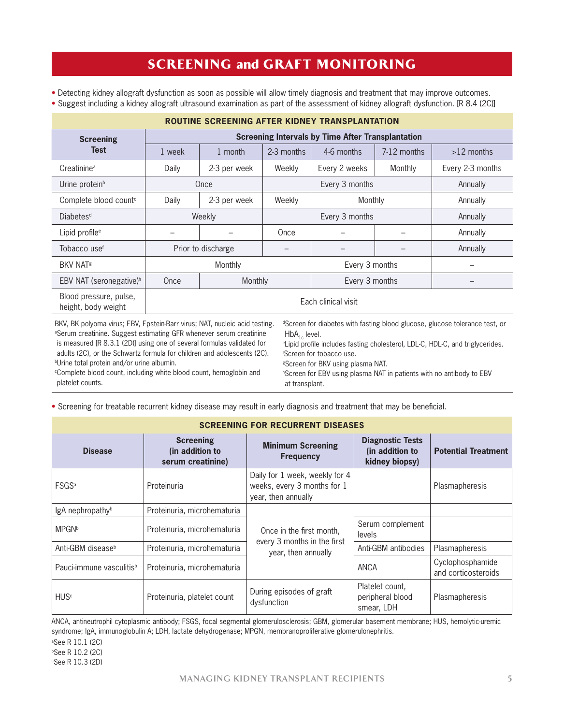### **SCREENING and GRAFT MONITORING**

- Detecting kidney allograft dysfunction as soon as possible will allow timely diagnosis and treatment that may improve outcomes.
- Suggest including a kidney allograft ultrasound examination as part of the assessment of kidney allograft dysfunction. [R 8.4 (2C)]

| <b>ROUTINE SCREENING AFTER KIDNEY TRANSPLANTATION</b>                                                                                                                                                                                                                                                                                                                                                                                                                                                                                                                                                                                                                                                                                                                                                                                                                                          |                                                          |                    |            |                |             |                  |
|------------------------------------------------------------------------------------------------------------------------------------------------------------------------------------------------------------------------------------------------------------------------------------------------------------------------------------------------------------------------------------------------------------------------------------------------------------------------------------------------------------------------------------------------------------------------------------------------------------------------------------------------------------------------------------------------------------------------------------------------------------------------------------------------------------------------------------------------------------------------------------------------|----------------------------------------------------------|--------------------|------------|----------------|-------------|------------------|
| <b>Screening</b>                                                                                                                                                                                                                                                                                                                                                                                                                                                                                                                                                                                                                                                                                                                                                                                                                                                                               | <b>Screening Intervals by Time After Transplantation</b> |                    |            |                |             |                  |
| <b>Test</b>                                                                                                                                                                                                                                                                                                                                                                                                                                                                                                                                                                                                                                                                                                                                                                                                                                                                                    | 1 week                                                   | 1 month            | 2-3 months | 4-6 months     | 7-12 months | $>12$ months     |
| Creatinine <sup>a</sup>                                                                                                                                                                                                                                                                                                                                                                                                                                                                                                                                                                                                                                                                                                                                                                                                                                                                        | Daily                                                    | 2-3 per week       | Weekly     | Every 2 weeks  | Monthly     | Every 2-3 months |
| Urine protein <sup>b</sup>                                                                                                                                                                                                                                                                                                                                                                                                                                                                                                                                                                                                                                                                                                                                                                                                                                                                     | Once                                                     |                    |            | Every 3 months | Annually    |                  |
| Complete blood count <sup>c</sup>                                                                                                                                                                                                                                                                                                                                                                                                                                                                                                                                                                                                                                                                                                                                                                                                                                                              | Daily                                                    | 2-3 per week       | Weekly     | Monthly        |             | Annually         |
| Diabetes <sup>d</sup>                                                                                                                                                                                                                                                                                                                                                                                                                                                                                                                                                                                                                                                                                                                                                                                                                                                                          | Weekly                                                   |                    |            | Every 3 months | Annually    |                  |
| Lipid profile <sup>e</sup>                                                                                                                                                                                                                                                                                                                                                                                                                                                                                                                                                                                                                                                                                                                                                                                                                                                                     |                                                          |                    | Once       |                |             | Annually         |
| Tobacco use <sup>f</sup>                                                                                                                                                                                                                                                                                                                                                                                                                                                                                                                                                                                                                                                                                                                                                                                                                                                                       |                                                          | Prior to discharge |            |                |             | Annually         |
| <b>BKV NAT<sup>g</sup></b>                                                                                                                                                                                                                                                                                                                                                                                                                                                                                                                                                                                                                                                                                                                                                                                                                                                                     |                                                          | Monthly            |            | Every 3 months |             |                  |
| EBV NAT (seronegative) <sup>h</sup>                                                                                                                                                                                                                                                                                                                                                                                                                                                                                                                                                                                                                                                                                                                                                                                                                                                            | Once                                                     | Monthly            |            | Every 3 months |             |                  |
| Blood pressure, pulse,<br>height, body weight                                                                                                                                                                                                                                                                                                                                                                                                                                                                                                                                                                                                                                                                                                                                                                                                                                                  | Each clinical visit                                      |                    |            |                |             |                  |
| BKV, BK polyoma virus; EBV, Epstein-Barr virus; NAT, nucleic acid testing.<br><sup>d</sup> Screen for diabetes with fasting blood glucose, glucose tolerance test, or<br><sup>a</sup> Serum creatinine. Suggest estimating GFR whenever serum creatinine<br>$HbA_{1c}$ level.<br>is measured [R 8.3.1 (2D)] using one of several formulas validated for<br><sup>e</sup> Lipid profile includes fasting cholesterol, LDL-C, HDL-C, and triglycerides.<br>adults (2C), or the Schwartz formula for children and adolescents (2C).<br><sup>f</sup> Screen for tobacco use.<br><sup>b</sup> Urine total protein and/or urine albumin.<br><sup>g</sup> Screen for BKV using plasma NAT.<br><sup>c</sup> Complete blood count, including white blood count, hemoglobin and<br><sup>h</sup> Screen for EBV using plasma NAT in patients with no antibody to EBV<br>platelet counts.<br>at transplant. |                                                          |                    |            |                |             |                  |

• Screening for treatable recurrent kidney disease may result in early diagnosis and treatment that may be beneficial.

| <b>SCREENING FOR RECURRENT DISEASES</b> |                                                          |                                                                                      |                                                              |                                         |  |
|-----------------------------------------|----------------------------------------------------------|--------------------------------------------------------------------------------------|--------------------------------------------------------------|-----------------------------------------|--|
| <b>Disease</b>                          | <b>Screening</b><br>(in addition to<br>serum creatinine) | <b>Minimum Screening</b><br><b>Frequency</b>                                         | <b>Diagnostic Tests</b><br>(in addition to<br>kidney biopsy) | <b>Potential Treatment</b>              |  |
| <b>FSGS</b> <sup>a</sup>                | Proteinuria                                              | Daily for 1 week, weekly for 4<br>weeks, every 3 months for 1<br>year, then annually |                                                              | Plasmapheresis                          |  |
| lgA nephropathy <sup>b</sup>            | Proteinuria, microhematuria                              |                                                                                      |                                                              |                                         |  |
| <b>MPGN</b> b                           | Proteinuria, microhematuria                              | Once in the first month,                                                             | Serum complement<br>levels                                   |                                         |  |
| Anti-GBM disease <sup>b</sup>           | Proteinuria, microhematuria                              | every 3 months in the first<br>year, then annually                                   | Anti-GBM antibodies                                          | Plasmapheresis                          |  |
| Pauci-immune vasculitis <sup>b</sup>    | Proteinuria, microhematuria                              |                                                                                      | <b>ANCA</b>                                                  | Cyclophosphamide<br>and corticosteroids |  |
| <b>HUS</b> <sup>c</sup>                 | Proteinuria, platelet count                              | During episodes of graft<br>dysfunction                                              | Platelet count,<br>peripheral blood<br>smear, LDH            | Plasmapheresis                          |  |

ANCA, antineutrophil cytoplasmic antibody; FSGS, focal segmental glomerulosclerosis; GBM, glomerular basement membrane; HUS, hemolytic-uremic syndrome; IgA, immunoglobulin A; LDH, lactate dehydrogenase; MPGN, membranoproliferative glomerulonephritis.

a See R 10.1 (2C) b See R 10.2 (2C)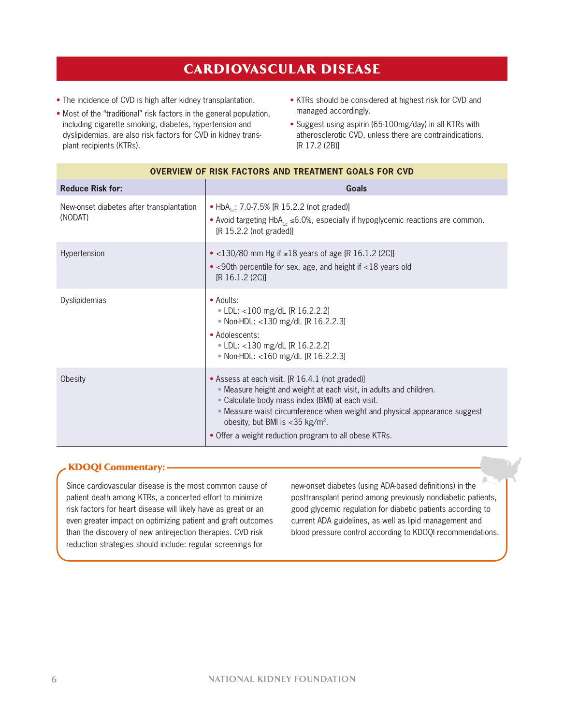### CarDIovasCular DIsease

- The incidence of CVD is high after kidney transplantation.
- Most of the "traditional" risk factors in the general population, including cigarette smoking, diabetes, hypertension and dyslipidemias, are also risk factors for CVD in kidney transplant recipients (KTRs).
- KTRs should be considered at highest risk for CVD and managed accordingly.
- Suggest using aspirin (65-100mg/day) in all KTRs with atherosclerotic CVD, unless there are contraindications. [R 17.2 (2B)]

| <b>OVERVIEW OF RISK FACTORS AND TREATMENT GOALS FOR CVD</b> |                                                                                                                                                                                                                                                                                                                                                                |  |  |
|-------------------------------------------------------------|----------------------------------------------------------------------------------------------------------------------------------------------------------------------------------------------------------------------------------------------------------------------------------------------------------------------------------------------------------------|--|--|
| <b>Reduce Risk for:</b>                                     | Goals                                                                                                                                                                                                                                                                                                                                                          |  |  |
| New-onset diabetes after transplantation<br>(NODAT)         | • HbA <sub>1s</sub> : 7.0-7.5% [R 15.2.2 (not graded)]<br>• Avoid targeting HbA <sub>1c</sub> $\leq$ 6.0%, especially if hypoglycemic reactions are common.<br>[R 15.2.2 (not graded)]                                                                                                                                                                         |  |  |
| Hypertension                                                | • <130/80 mm Hg if ≥18 years of age [R 16.1.2 (2C)]<br>• <90th percentile for sex, age, and height if <18 years old<br>[R 16.1.2 (2C)]                                                                                                                                                                                                                         |  |  |
| Dyslipidemias                                               | • Adults:<br>• LDL: <100 mg/dL [R 16.2.2.2]<br>• Non-HDL: <130 mg/dL [R 16.2.2.3]<br>• Adolescents:<br>• LDL: <130 mg/dL [R 16.2.2.2]<br>• Non-HDL: <160 mg/dL [R 16.2.2.3]                                                                                                                                                                                    |  |  |
| Obesity                                                     | • Assess at each visit. [R 16.4.1 (not graded)]<br>• Measure height and weight at each visit, in adults and children.<br>• Calculate body mass index (BMI) at each visit.<br>. Measure waist circumference when weight and physical appearance suggest<br>obesity, but BMI is <35 kg/m <sup>2</sup> .<br>• Offer a weight reduction program to all obese KTRs. |  |  |

#### KDoQI Commentary:

Since cardiovascular disease is the most common cause of patient death among KTRs, a concerted effort to minimize risk factors for heart disease will likely have as great or an even greater impact on optimizing patient and graft outcomes than the discovery of new antirejection therapies. CVD risk reduction strategies should include: regular screenings for

new-onset diabetes (using ADA-based definitions) in the posttransplant period among previously nondiabetic patients, good glycemic regulation for diabetic patients according to current ADA guidelines, as well as lipid management and blood pressure control according to KDOQI recommendations.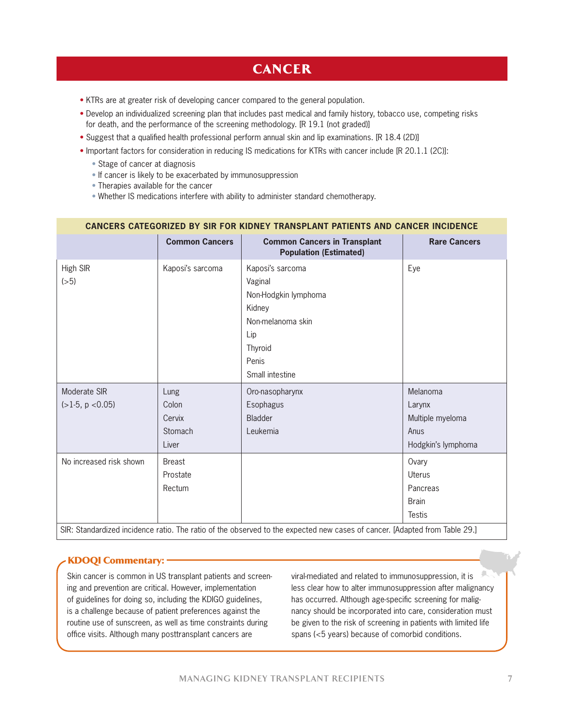### **CANCER**

- KTRs are at greater risk of developing cancer compared to the general population.
- Develop an individualized screening plan that includes past medical and family history, tobacco use, competing risks for death, and the performance of the screening methodology. [R 19.1 (not graded)]
- Suggest that a qualified health professional perform annual skin and lip examinations. [R 18.4 (2D)]
- Important factors for consideration in reducing IS medications for KTRs with cancer include [R 20.1.1 (2C)]:
	- Stage of cancer at diagnosis
	- If cancer is likely to be exacerbated by immunosuppression
	- Therapies available for the cancer
	- Whether IS medications interfere with ability to administer standard chemotherapy.

#### **CANCERS CATEGORIZED BY SIR FOR KIDNEY TRANSPLANT PATIENTS AND CANCER INCIDENCE**

|                                                                                                                            | <b>Common Cancers</b>                       | <b>Common Cancers in Transplant</b><br><b>Population (Estimated)</b>                                                             | <b>Rare Cancers</b>                                                  |  |
|----------------------------------------------------------------------------------------------------------------------------|---------------------------------------------|----------------------------------------------------------------------------------------------------------------------------------|----------------------------------------------------------------------|--|
| High SIR<br>(>5)                                                                                                           | Kaposi's sarcoma                            | Kaposi's sarcoma<br>Vaginal<br>Non-Hodgkin lymphoma<br>Kidney<br>Non-melanoma skin<br>Lip<br>Thyroid<br>Penis<br>Small intestine | Eye                                                                  |  |
| Moderate SIR<br>$(>1-5, p < 0.05)$                                                                                         | Lung<br>Colon<br>Cervix<br>Stomach<br>Liver | Oro-nasopharynx<br>Esophagus<br>Bladder<br>Leukemia                                                                              | Melanoma<br>Larynx<br>Multiple myeloma<br>Anus<br>Hodgkin's lymphoma |  |
| No increased risk shown                                                                                                    | <b>Breast</b><br>Prostate<br>Rectum         |                                                                                                                                  | Ovary<br>Uterus<br>Pancreas<br><b>Brain</b><br><b>Testis</b>         |  |
| SIR: Standardized incidence ratio. The ratio of the observed to the expected new cases of cancer. [Adapted from Table 29.] |                                             |                                                                                                                                  |                                                                      |  |

#### **KDOQI Commentary: -**

Skin cancer is common in US transplant patients and screening and prevention are critical. However, implementation of guidelines for doing so, including the KDIGO guidelines, is a challenge because of patient preferences against the routine use of sunscreen, as well as time constraints during office visits. Although many posttransplant cancers are

viral-mediated and related to immunosuppression, it is less clear how to alter immunosuppression after malignancy has occurred. Although age-specific screening for malignancy should be incorporated into care, consideration must be given to the risk of screening in patients with limited life spans (<5 years) because of comorbid conditions.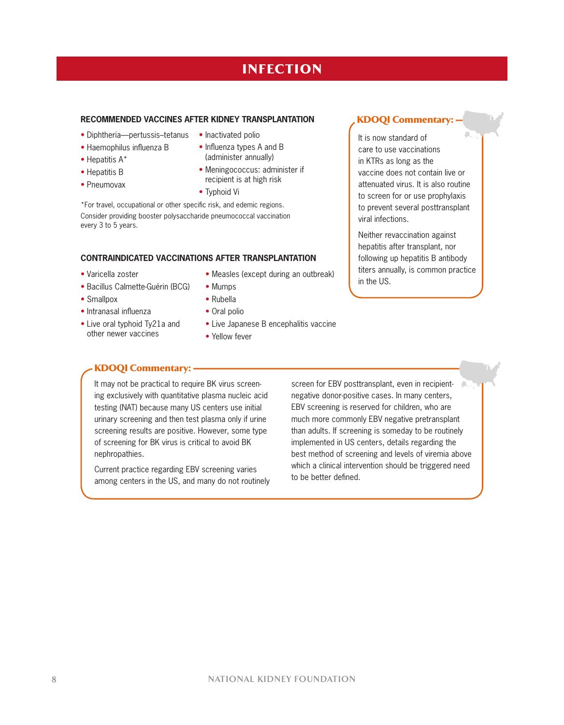## **INFECTION**

#### **RECOMMENDED VACCINES AFTER KIDNEY TRANSPLANTATION**

- Diphtheria—pertussis–tetanus
- Haemophilus influenza B
- Hepatitis A\*
- Hepatitis B
- Pneumovax
- Inactivated polio
- Influenza types A and B (administer annually)
- Meningococcus: administer if recipient is at high risk
- Typhoid Vi

\*For travel, occupational or other specific risk, and edemic regions. Consider providing booster polysaccharide pneumococcal vaccination every 3 to 5 years.

#### **CONTRAINDICATED VACCINATIONS AFTER TRANSPLANTATION**

- Varicella zoster
- Bacillus Calmette-Guérin (BCG)
- 
- Smallpox • Intranasal influenza
- Live oral typhoid Ty21a and
- other newer vaccines
- Measles (except during an outbreak) • Mumps
- Rubella
- Oral polio
- Live Japanese B encephalitis vaccine
- Yellow fever

### KDoQI Commentary:

It may not be practical to require BK virus screening exclusively with quantitative plasma nucleic acid testing (NAT) because many US centers use initial urinary screening and then test plasma only if urine screening results are positive. However, some type of screening for BK virus is critical to avoid BK nephropathies.

Current practice regarding EBV screening varies among centers in the US, and many do not routinely screen for EBV posttransplant, even in recipientnegative donor-positive cases. In many centers, EBV screening is reserved for children, who are much more commonly EBV negative pretransplant than adults. If screening is someday to be routinely implemented in US centers, details regarding the best method of screening and levels of viremia above which a clinical intervention should be triggered need to be better defined.

KDoQI Commentary:

It is now standard of care to use vaccinations in KTRs as long as the vaccine does not contain live or attenuated virus. It is also routine to screen for or use prophylaxis to prevent several posttransplant viral infections.

Neither revaccination against hepatitis after transplant, nor following up hepatitis B antibody titers annually, is common practice in the US.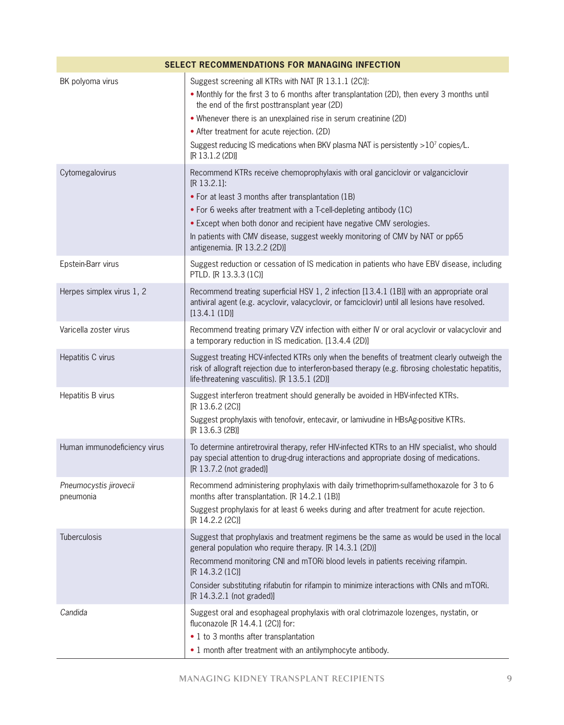|                                     | <b>SELECT RECOMMENDATIONS FOR MANAGING INFECTION</b>                                                                                                                                                                                                                                                                                                                                                                             |
|-------------------------------------|----------------------------------------------------------------------------------------------------------------------------------------------------------------------------------------------------------------------------------------------------------------------------------------------------------------------------------------------------------------------------------------------------------------------------------|
| BK polyoma virus                    | Suggest screening all KTRs with NAT [R 13.1.1 (2C)]:<br>• Monthly for the first 3 to 6 months after transplantation (2D), then every 3 months until<br>the end of the first posttransplant year (2D)<br>• Whenever there is an unexplained rise in serum creatinine (2D)<br>• After treatment for acute rejection. (2D)<br>Suggest reducing IS medications when BKV plasma NAT is persistently >107 copies/L.<br>[R 13.1.2 (2D)] |
| Cytomegalovirus                     | Recommend KTRs receive chemoprophylaxis with oral ganciclovir or valganciclovir<br>[R 13.2.1]:<br>• For at least 3 months after transplantation (1B)<br>• For 6 weeks after treatment with a T-cell-depleting antibody (1C)<br>• Except when both donor and recipient have negative CMV serologies.<br>In patients with CMV disease, suggest weekly monitoring of CMV by NAT or pp65<br>antigenemia. [R 13.2.2 (2D)]             |
| Epstein-Barr virus                  | Suggest reduction or cessation of IS medication in patients who have EBV disease, including<br>PTLD. [R 13.3.3 (1C)]                                                                                                                                                                                                                                                                                                             |
| Herpes simplex virus 1, 2           | Recommend treating superficial HSV 1, 2 infection [13.4.1 (1B)] with an appropriate oral<br>antiviral agent (e.g. acyclovir, valacyclovir, or famciclovir) until all lesions have resolved.<br>[13.4.1 (1D)]                                                                                                                                                                                                                     |
| Varicella zoster virus              | Recommend treating primary VZV infection with either IV or oral acyclovir or valacyclovir and<br>a temporary reduction in IS medication. [13.4.4 (2D)]                                                                                                                                                                                                                                                                           |
| Hepatitis C virus                   | Suggest treating HCV-infected KTRs only when the benefits of treatment clearly outweigh the<br>risk of allograft rejection due to interferon-based therapy (e.g. fibrosing cholestatic hepatitis,<br>life-threatening vasculitis). [R 13.5.1 (2D)]                                                                                                                                                                               |
| Hepatitis B virus                   | Suggest interferon treatment should generally be avoided in HBV-infected KTRs.<br>[R 13.6.2 (2C)]<br>Suggest prophylaxis with tenofovir, entecavir, or lamivudine in HBsAg-positive KTRs.<br>[R 13.6.3 (2B)]                                                                                                                                                                                                                     |
| Human immunodeficiency virus        | To determine antiretroviral therapy, refer HIV-infected KTRs to an HIV specialist, who should<br>pay special attention to drug-drug interactions and appropriate dosing of medications.<br>[R 13.7.2 (not graded)]                                                                                                                                                                                                               |
| Pneumocystis jirovecii<br>pneumonia | Recommend administering prophylaxis with daily trimethoprim-sulfamethoxazole for 3 to 6<br>months after transplantation. [R 14.2.1 (1B)]<br>Suggest prophylaxis for at least 6 weeks during and after treatment for acute rejection.<br>[R 14.2.2 (2C)]                                                                                                                                                                          |
| Tuberculosis                        | Suggest that prophylaxis and treatment regimens be the same as would be used in the local<br>general population who require therapy. [R 14.3.1 (2D)]<br>Recommend monitoring CNI and mTORi blood levels in patients receiving rifampin.<br>[R 14.3.2 (1C)]<br>Consider substituting rifabutin for rifampin to minimize interactions with CNIs and mTORi.<br>[R 14.3.2.1 (not graded)]                                            |
| Candida                             | Suggest oral and esophageal prophylaxis with oral clotrimazole lozenges, nystatin, or<br>fluconazole $[R 14.4.1 (2C)]$ for:<br>• 1 to 3 months after transplantation<br>• 1 month after treatment with an antilymphocyte antibody.                                                                                                                                                                                               |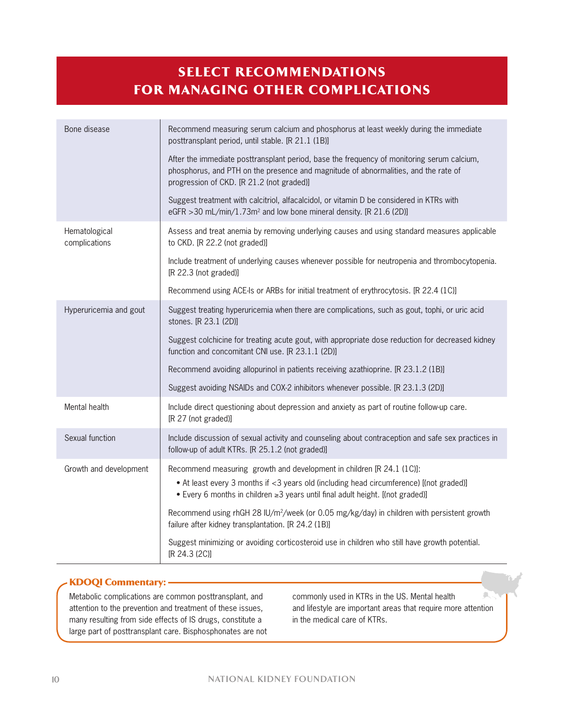## seleCt reCommenDatIons for managIng other ComplICatIons

| Bone disease                   | Recommend measuring serum calcium and phosphorus at least weekly during the immediate<br>posttransplant period, until stable. [R 21.1 (1B)]                                                                                                        |
|--------------------------------|----------------------------------------------------------------------------------------------------------------------------------------------------------------------------------------------------------------------------------------------------|
|                                | After the immediate posttransplant period, base the frequency of monitoring serum calcium,<br>phosphorus, and PTH on the presence and magnitude of abnormalities, and the rate of<br>progression of CKD. [R 21.2 (not graded)]                     |
|                                | Suggest treatment with calcitriol, alfacalcidol, or vitamin D be considered in KTRs with<br>eGFR > 30 mL/min/1.73m <sup>2</sup> and low bone mineral density. [R 21.6 (2D)]                                                                        |
| Hematological<br>complications | Assess and treat anemia by removing underlying causes and using standard measures applicable<br>to CKD. [R 22.2 (not graded)]                                                                                                                      |
|                                | Include treatment of underlying causes whenever possible for neutropenia and thrombocytopenia.<br>[R 22.3 (not graded)]                                                                                                                            |
|                                | Recommend using ACE-Is or ARBs for initial treatment of erythrocytosis. [R 22.4 (1C)]                                                                                                                                                              |
| Hyperuricemia and gout         | Suggest treating hyperuricemia when there are complications, such as gout, tophi, or uric acid<br>stones. [R 23.1 (2D)]                                                                                                                            |
|                                | Suggest colchicine for treating acute gout, with appropriate dose reduction for decreased kidney<br>function and concomitant CNI use. [R 23.1.1 (2D)]                                                                                              |
|                                | Recommend avoiding allopurinol in patients receiving azathioprine. [R 23.1.2 (1B)]                                                                                                                                                                 |
|                                | Suggest avoiding NSAIDs and COX-2 inhibitors whenever possible. [R 23.1.3 (2D)]                                                                                                                                                                    |
| Mental health                  | Include direct questioning about depression and anxiety as part of routine follow-up care.<br>[R 27 (not graded)]                                                                                                                                  |
| Sexual function                | Include discussion of sexual activity and counseling about contraception and safe sex practices in<br>follow-up of adult KTRs. [R 25.1.2 (not graded)]                                                                                             |
| Growth and development         | Recommend measuring growth and development in children [R 24.1 (1C)]:<br>• At least every 3 months if <3 years old (including head circumference) [(not graded)]<br>• Every 6 months in children ≥3 years until final adult height. [(not graded)] |
|                                | Recommend using rhGH 28 IU/m <sup>2</sup> /week (or 0.05 mg/kg/day) in children with persistent growth<br>failure after kidney transplantation. [R 24.2 (1B)]                                                                                      |
|                                | Suggest minimizing or avoiding corticosteroid use in children who still have growth potential.<br>[R 24.3 (2C)]                                                                                                                                    |

#### KDOQI Commentary: -

Metabolic complications are common posttransplant, and attention to the prevention and treatment of these issues, many resulting from side effects of IS drugs, constitute a large part of posttransplant care. Bisphosphonates are not

commonly used in KTRs in the US. Mental health and lifestyle are important areas that require more attention in the medical care of KTRs.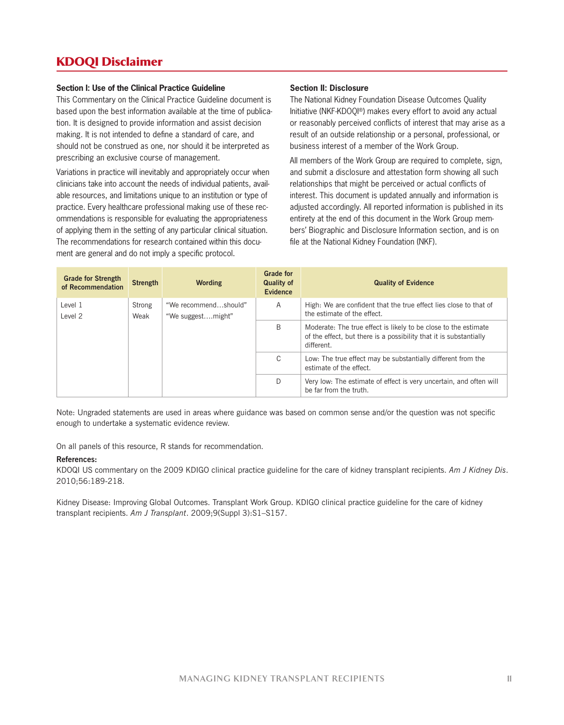### KDoQI Disclaimer

#### **Section I: Use of the Clinical Practice Guideline**

This Commentary on the Clinical Practice Guideline document is based upon the best information available at the time of publication. It is designed to provide information and assist decision making. It is not intended to define a standard of care, and should not be construed as one, nor should it be interpreted as prescribing an exclusive course of management.

Variations in practice will inevitably and appropriately occur when clinicians take into account the needs of individual patients, available resources, and limitations unique to an institution or type of practice. Every healthcare professional making use of these recommendations is responsible for evaluating the appropriateness of applying them in the setting of any particular clinical situation. The recommendations for research contained within this document are general and do not imply a specific protocol.

#### **Section II: Disclosure**

The National Kidney Foundation Disease Outcomes Quality Initiative (NKF-KDOQI®) makes every effort to avoid any actual or reasonably perceived conflicts of interest that may arise as a result of an outside relationship or a personal, professional, or business interest of a member of the Work Group.

All members of the Work Group are required to complete, sign, and submit a disclosure and attestation form showing all such relationships that might be perceived or actual conflicts of interest. This document is updated annually and information is adjusted accordingly. All reported information is published in its entirety at the end of this document in the Work Group members' Biographic and Disclosure Information section, and is on file at the National Kidney Foundation (NKF).

| <b>Grade for Strength</b><br>of Recommendation | <b>Strength</b> | Wording                                                                                                                                             | <b>Grade for</b><br><b>Quality of</b><br><b>Evidence</b>                                     | <b>Quality of Evidence</b>                                                                       |
|------------------------------------------------|-----------------|-----------------------------------------------------------------------------------------------------------------------------------------------------|----------------------------------------------------------------------------------------------|--------------------------------------------------------------------------------------------------|
| Level 1<br>Level 2                             | Strong<br>Weak  | "We recommendshould"<br>"We suggestmight"                                                                                                           | A                                                                                            | High: We are confident that the true effect lies close to that of<br>the estimate of the effect. |
|                                                | B               | Moderate: The true effect is likely to be close to the estimate<br>of the effect, but there is a possibility that it is substantially<br>different. |                                                                                              |                                                                                                  |
|                                                | C               | Low: The true effect may be substantially different from the<br>estimate of the effect.                                                             |                                                                                              |                                                                                                  |
|                                                |                 | D                                                                                                                                                   | Very low: The estimate of effect is very uncertain, and often will<br>be far from the truth. |                                                                                                  |

Note: Ungraded statements are used in areas where guidance was based on common sense and/or the question was not specific enough to undertake a systematic evidence review.

On all panels of this resource, R stands for recommendation.

#### **References:**

KDOQI US commentary on the 2009 KDIGO clinical practice guideline for the care of kidney transplant recipients. *Am J Kidney Dis*. 2010;56:189-218.

Kidney Disease: Improving Global Outcomes. Transplant Work Group. KDIGO clinical practice guideline for the care of kidney transplant recipients. *Am J Transplant*. 2009;9(Suppl 3):S1–S157.